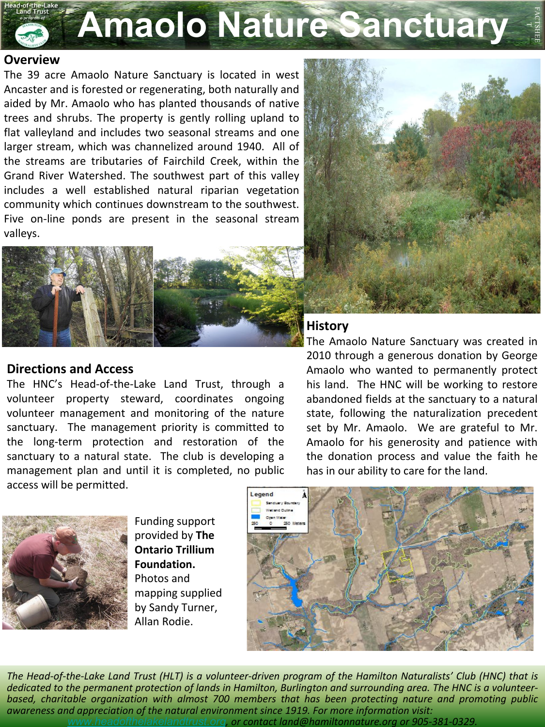

## **Overview**

The 39 acre Amaolo Nature Sanctuary is located in west Ancaster and is forested or regenerating, both naturally and aided by Mr. Amaolo who has planted thousands of native trees and shrubs. The property is gently rolling upland to flat valleyland and includes two seasonal streams and one larger stream, which was channelized around 1940. All of the streams are tributaries of Fairchild Creek, within the Grand River Watershed. The southwest part of this valley includes a well established natural riparian vegetation community which continues downstream to the southwest. Five on-line ponds are present in the seasonal stream valleys.



## **Directions and Access**

The HNC's Head-of-the-Lake Land Trust, through a volunteer property steward, coordinates ongoing volunteer management and monitoring of the nature sanctuary. The management priority is committed to the long-term protection and restoration of the sanctuary to a natural state. The club is developing a management plan and until it is completed, no public access will be permitted.



Funding support provided by **The Ontario Trillium Foundation.**  Photos and mapping supplied by Sandy Turner, Allan Rodie.



FACTSHEE

## **History**

The Amaolo Nature Sanctuary was created in 2010 through a generous donation by George Amaolo who wanted to permanently protect his land. The HNC will be working to restore abandoned fields at the sanctuary to a natural state, following the naturalization precedent set by Mr. Amaolo. We are grateful to Mr. Amaolo for his generosity and patience with the donation process and value the faith he has in our ability to care for the land.



*The Head-of-the-Lake Land Trust (HLT) is a volunteer-driven program of the Hamilton Naturalists' Club (HNC) that is dedicated to the permanent protection of lands in Hamilton, Burlington and surrounding area. The HNC is a volunteerbased, charitable organization with almost 700 members that has been protecting nature and promoting public awareness and appreciation of the natural environment since 1919. For more information visit: [www.headofthelakelandtrust.org](http://www.headofthelakelandtrust.org/), or contact land@hamiltonnature.org or 905-381-0329.*